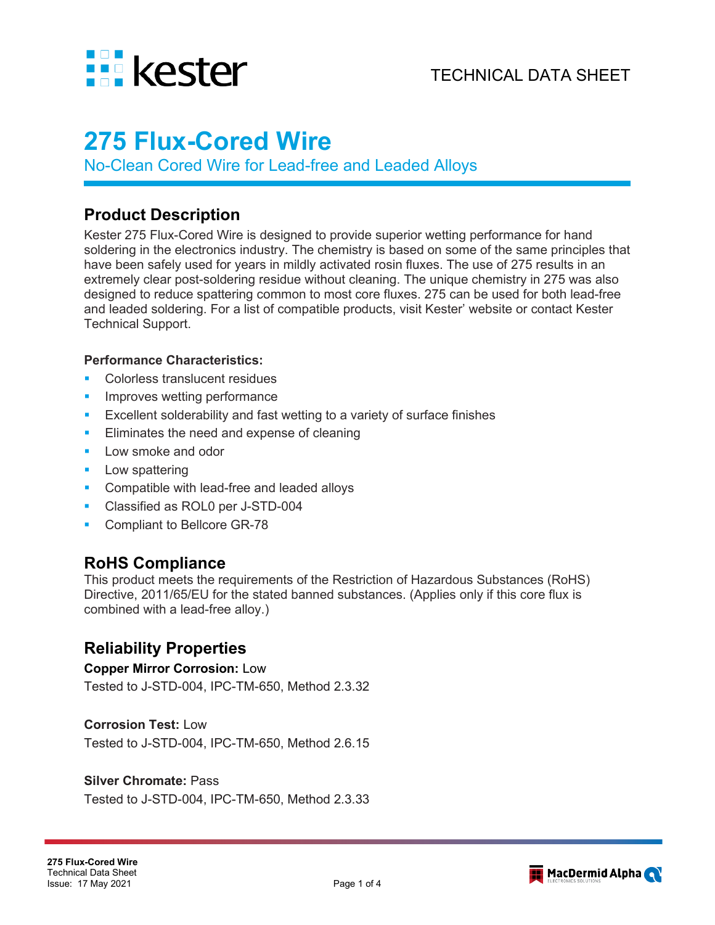

# **275 Flux-Cored Wire**

No-Clean Cored Wire for Lead-free and Leaded Alloys

## **Product Description**

Kester 275 Flux-Cored Wire is designed to provide superior wetting performance for hand soldering in the electronics industry. The chemistry is based on some of the same principles that have been safely used for years in mildly activated rosin fluxes. The use of 275 results in an extremely clear post-soldering residue without cleaning. The unique chemistry in 275 was also designed to reduce spattering common to most core fluxes. 275 can be used for both lead-free and leaded soldering. For a list of compatible products, visit Kester' website or contact Kester Technical Support.

#### **Performance Characteristics:**

- Colorless translucent residues
- Improves wetting performance
- Excellent solderability and fast wetting to a variety of surface finishes
- **Eliminates the need and expense of cleaning**
- **Low smoke and odor**
- **Low spattering**
- **Compatible with lead-free and leaded alloys**
- **Classified as ROL0 per J-STD-004**
- Compliant to Bellcore GR-78

## **RoHS Compliance**

This product meets the requirements of the Restriction of Hazardous Substances (RoHS) Directive, 2011/65/EU for the stated banned substances. (Applies only if this core flux is combined with a lead-free alloy.)

## **Reliability Properties**

#### **Copper Mirror Corrosion:** Low

Tested to J-STD-004, IPC-TM-650, Method 2.3.32

#### **Corrosion Test:** Low

Tested to J-STD-004, IPC-TM-650, Method 2.6.15

#### **Silver Chromate:** Pass

Tested to J-STD-004, IPC-TM-650, Method 2.3.33

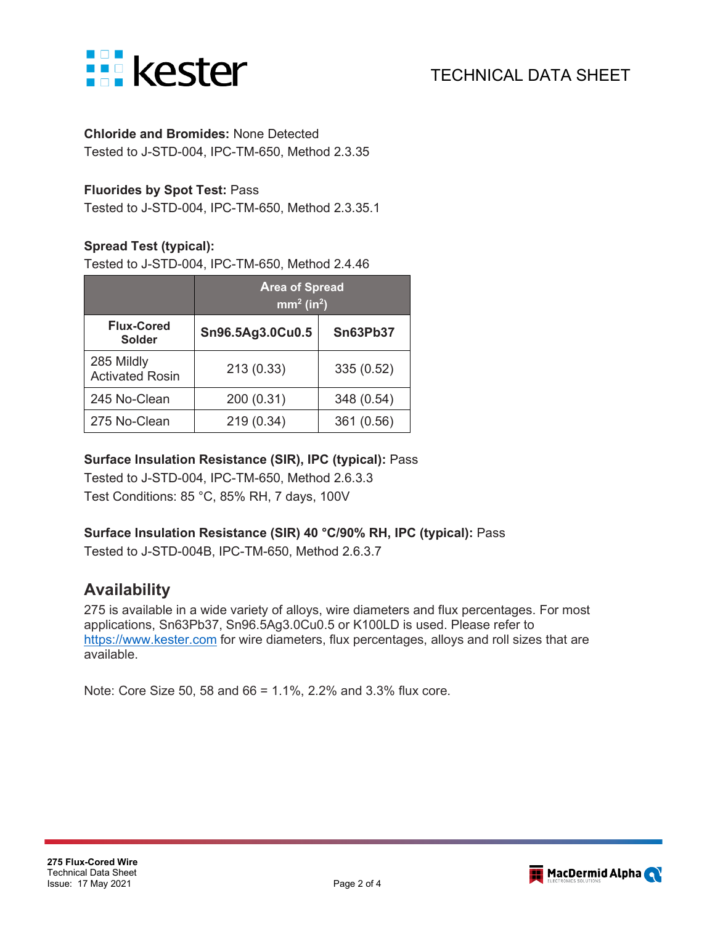

## **Chloride and Bromides:** None Detected

Tested to J-STD-004, IPC-TM-650, Method 2.3.35

### **Fluorides by Spot Test:** Pass

Tested to J-STD-004, IPC-TM-650, Method 2.3.35.1

### **Spread Test (typical):**

Tested to J-STD-004, IPC-TM-650, Method 2.4.46

|                                      | <b>Area of Spread</b><br>$\text{mm}^2$ (in <sup>2</sup> ) |                 |
|--------------------------------------|-----------------------------------------------------------|-----------------|
| <b>Flux-Cored</b><br><b>Solder</b>   | Sn96.5Ag3.0Cu0.5                                          | <b>Sn63Pb37</b> |
| 285 Mildly<br><b>Activated Rosin</b> | 213(0.33)                                                 | 335 (0.52)      |
| 245 No-Clean                         | 200 (0.31)                                                | 348 (0.54)      |
| 275 No-Clean                         | 219 (0.34)                                                | 361 (0.56)      |

### **Surface Insulation Resistance (SIR), IPC (typical):** Pass

Tested to J-STD-004, IPC-TM-650, Method 2.6.3.3 Test Conditions: 85 °C, 85% RH, 7 days, 100V

## **Surface Insulation Resistance (SIR) 40 °C/90% RH, IPC (typical):** Pass

Tested to J-STD-004B, IPC-TM-650, Method 2.6.3.7

## **Availability**

275 is available in a wide variety of alloys, wire diameters and flux percentages. For most applications, Sn63Pb37, Sn96.5Ag3.0Cu0.5 or K100LD is used. Please refer to [https://www.kester.com](https://www.kester.com/) for wire diameters, flux percentages, alloys and roll sizes that are available.

Note: Core Size 50, 58 and 66 = 1.1%, 2.2% and 3.3% flux core.

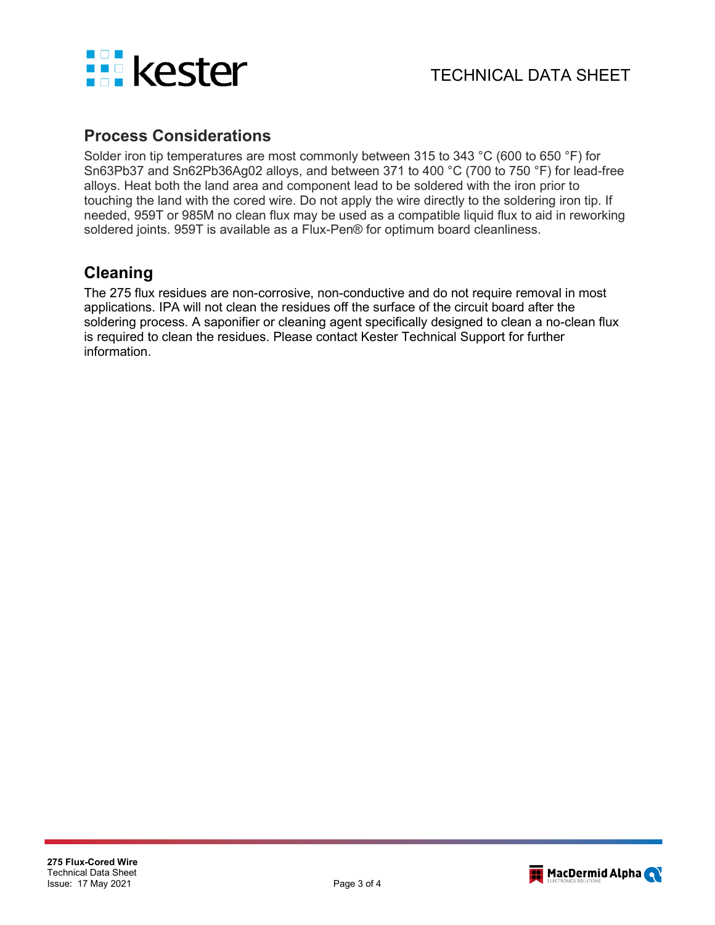

## **Process Considerations**

Solder iron tip temperatures are most commonly between 315 to 343 °C (600 to 650 °F) for Sn63Pb37 and Sn62Pb36Ag02 alloys, and between 371 to 400 °C (700 to 750 °F) for lead-free alloys. Heat both the land area and component lead to be soldered with the iron prior to touching the land with the cored wire. Do not apply the wire directly to the soldering iron tip. If needed, 959T or 985M no clean flux may be used as a compatible liquid flux to aid in reworking soldered joints. 959T is available as a Flux-Pen® for optimum board cleanliness.

## **Cleaning**

The 275 flux residues are non-corrosive, non-conductive and do not require removal in most applications. IPA will not clean the residues off the surface of the circuit board after the soldering process. A saponifier or cleaning agent specifically designed to clean a no-clean flux is required to clean the residues. Please contact Kester Technical Support for further information.